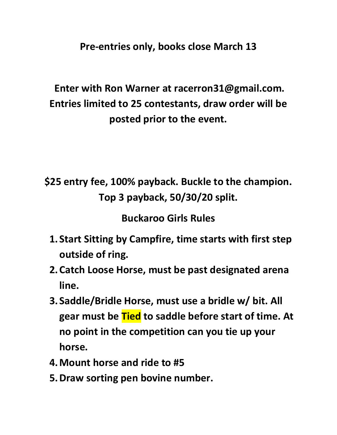**Pre-entries only, books close March 13**

## **Enter with Ron Warner at racerron31@gmail.com. Entries limited to 25 contestants, draw order will be posted prior to the event.**

**\$25 entry fee, 100% payback. Buckle to the champion. Top 3 payback, 50/30/20 split.**

**Buckaroo Girls Rules**

- **1. Start Sitting by Campfire, time starts with first step outside of ring.**
- **2.Catch Loose Horse, must be past designated arena line.**
- **3. Saddle/Bridle Horse, must use a bridle w/ bit. All gear must be Tied to saddle before start of time. At no point in the competition can you tie up your horse.**
- **4.Mount horse and ride to #5**
- **5.Draw sorting pen bovine number.**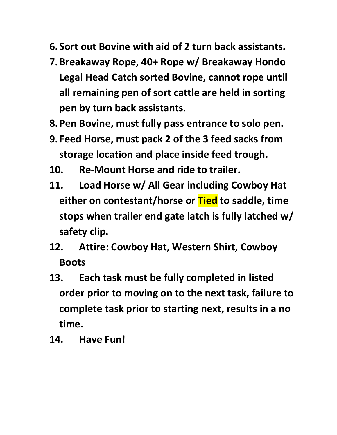- **6. Sort out Bovine with aid of 2 turn back assistants.**
- **7.Breakaway Rope, 40+ Rope w/ Breakaway Hondo Legal Head Catch sorted Bovine, cannot rope until all remaining pen of sort cattle are held in sorting pen by turn back assistants.**
- **8.Pen Bovine, must fully pass entrance to solo pen.**
- **9. Feed Horse, must pack 2 of the 3 feed sacks from storage location and place inside feed trough.**
- **10. Re-Mount Horse and ride to trailer.**
- **11. Load Horse w/ All Gear including Cowboy Hat either on contestant/horse or Tied to saddle, time stops when trailer end gate latch is fully latched w/ safety clip.**
- **12. Attire: Cowboy Hat, Western Shirt, Cowboy Boots**
- **13. Each task must be fully completed in listed order prior to moving on to the next task, failure to complete task prior to starting next, results in a no time.**
- **14. Have Fun!**